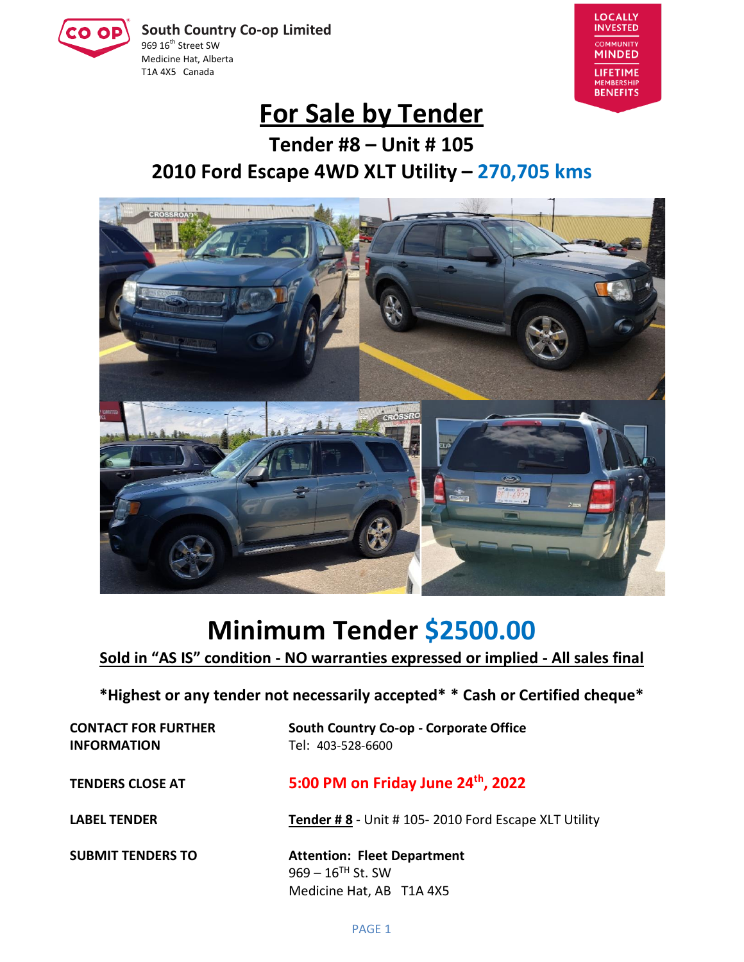**South Country Co-op Limited** 969 16<sup>th</sup> Street SW Medicine Hat, Alberta T1A 4X5 Canada



## **For Sale by Tender**

**Tender #8 – Unit # 105 2010 Ford Escape 4WD XLT Utility – 270,705 kms**



# **Minimum Tender \$2500.00**

**Sold in "AS IS" condition - NO warranties expressed or implied - All sales final**

**\*Highest or any tender not necessarily accepted\* \* Cash or Certified cheque\***

**CONTACT FOR FURTHER South Country Co-op - Corporate Office INFORMATION** Tel: 403-528-6600

**TENDERS CLOSE AT 5:00 PM on Friday June 24th , 2022**

**LABEL TENDER Tender # 8** - Unit # 105- 2010 Ford Escape XLT Utility

**SUBMIT TENDERS TO Attention: Fleet Department** 969 – 16TH St. SW Medicine Hat, AB T1A 4X5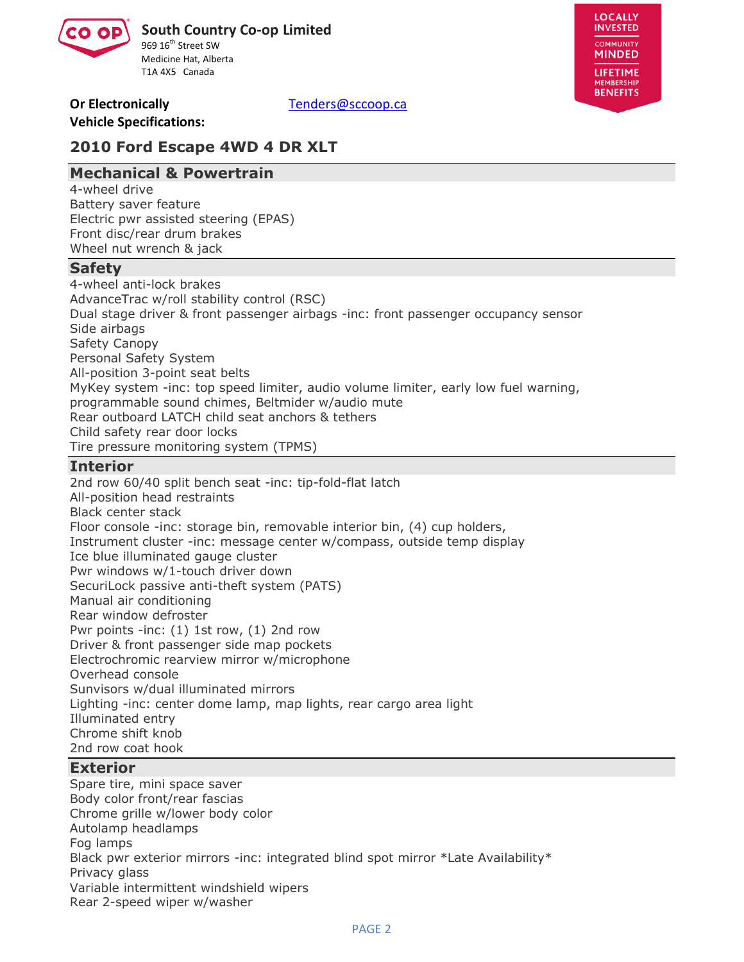



#### **Or Electronically** [Tenders@sccoop.ca](mailto:Tenders@sccoop.ca) **Vehicle Specifications:**

### **2010 Ford Escape 4WD 4 DR XLT**

#### **Mechanical & Powertrain**

4-wheel drive Battery saver feature Electric pwr assisted steering (EPAS) Front disc/rear drum brakes Wheel nut wrench & jack

#### **Safety**

4-wheel anti-lock brakes AdvanceTrac w/roll stability control (RSC) Dual stage driver & front passenger airbags -inc: front passenger occupancy sensor Side airbags Safety Canopy Personal Safety System All-position 3-point seat belts MyKey system -inc: top speed limiter, audio volume limiter, early low fuel warning, programmable sound chimes, Beltmider w/audio mute Rear outboard LATCH child seat anchors & tethers Child safety rear door locks Tire pressure monitoring system (TPMS)

#### **Interior**

2nd row 60/40 split bench seat -inc: tip-fold-flat latch All-position head restraints Black center stack Floor console -inc: storage bin, removable interior bin, (4) cup holders, Instrument cluster -inc: message center w/compass, outside temp display Ice blue illuminated gauge cluster Pwr windows w/1-touch driver down SecuriLock passive anti-theft system (PATS) Manual air conditioning Rear window defroster Pwr points -inc: (1) 1st row, (1) 2nd row Driver & front passenger side map pockets Electrochromic rearview mirror w/microphone Overhead console Sunvisors w/dual illuminated mirrors Lighting -inc: center dome lamp, map lights, rear cargo area light Illuminated entry Chrome shift knob 2nd row coat hook

#### **Exterior**

Spare tire, mini space saver Body color front/rear fascias Chrome grille w/lower body color Autolamp headlamps Fog lamps Black pwr exterior mirrors -inc: integrated blind spot mirror \*Late Availability\* Privacy glass Variable intermittent windshield wipers Rear 2-speed wiper w/washer